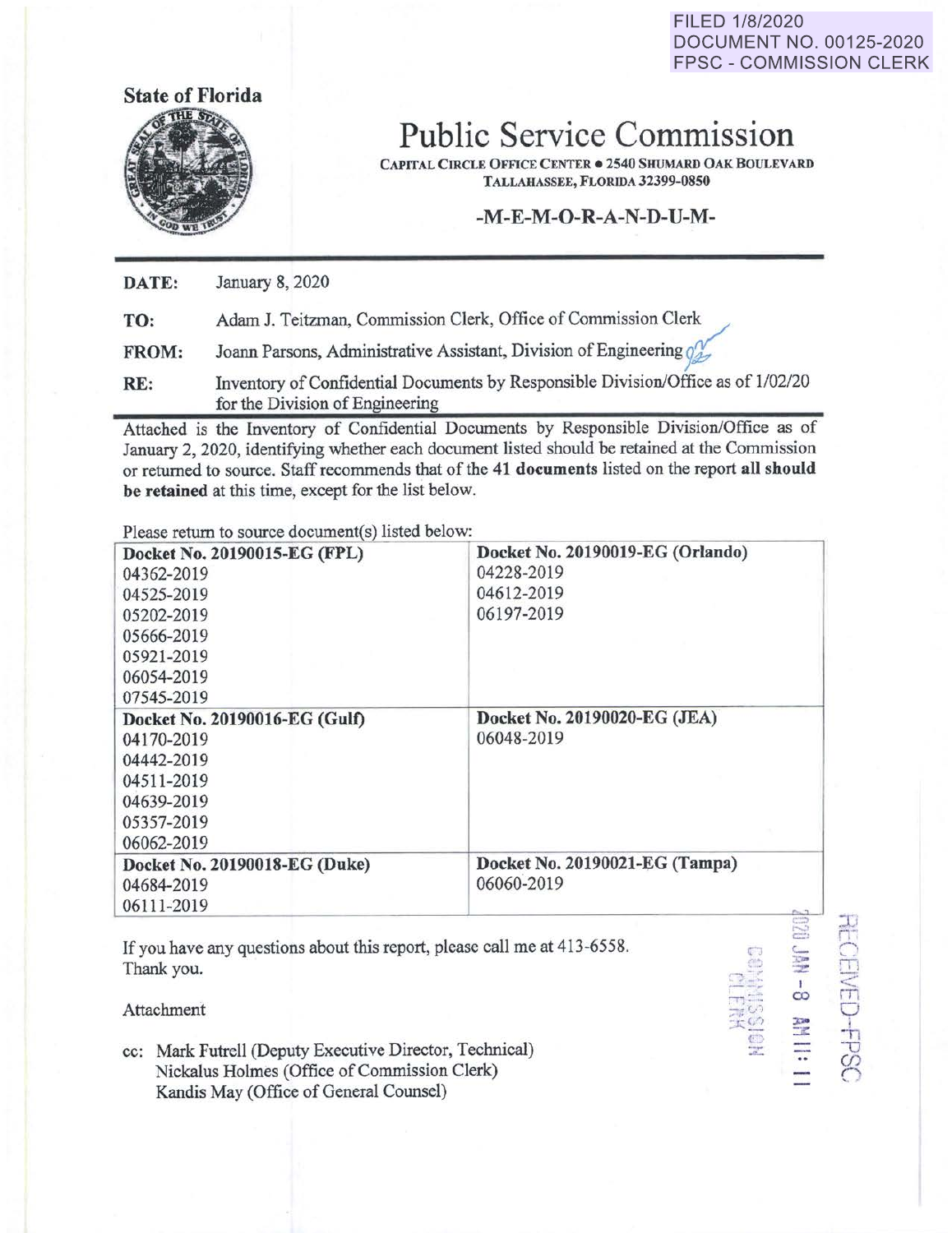FILED 1/8/2020 DOCUMENT NO. 00125-2020 FPSC - COMMISSION CLERK

> CJ  $\sim$   $\sim$  $\overline{\textbf{T}}$  .  $-0.2$  $\overline{\mathbf{c}}$ ......

 $\frac{1}{\infty}$ 

 $\frac{1}{10}$ 

 $\lessapprox$  $\cup$ 

끱 *(j) C:* 

::z:,. :::r: -..



## **Public Service Commission**

**CAPITAL CIRCLE OFFICE CENTER . 2540 SHUMARD OAK BOULEVARD TALLAHASSEE, FLORIDA 32399-0850** 

**-M-E-M-O-R-A-N-D-U-M-**

**DATE:**  January 8, 2020

| TO: |  |  |  | Adam J. Teitzman, Commission Clerk, Office of Commission Clerk |
|-----|--|--|--|----------------------------------------------------------------|
|-----|--|--|--|----------------------------------------------------------------|

**FROM:**  Joann Parsons, Administrative Assistant, Division of Engineering of

**RE:** Inventory of Confidential Documents by Responsible Division/Office as of 1/02/20 for the Division of Engineering

Attached is the Inventory of Confidential Documents by Responsible Division/Office as of January 2, 2020, identifying whether each document listed should be retained at the Commission or returned to source. Staff recommends that of the **41 documents** listed on the report **all should be retained** at this time, except for the list below.

Please return to source document(s) listed below:

| Docket No. 20190015-EG (FPL)<br>04362-2019<br>04525-2019                               | Docket No. 20190019-EG (Orlando)<br>04228-2019<br>04612-2019 |
|----------------------------------------------------------------------------------------|--------------------------------------------------------------|
| 05202-2019                                                                             | 06197-2019                                                   |
| 05666-2019                                                                             |                                                              |
| 05921-2019                                                                             |                                                              |
| 06054-2019                                                                             |                                                              |
| 07545-2019                                                                             |                                                              |
| Docket No. 20190016-EG (Gulf)                                                          | Docket No. 20190020-EG (JEA)                                 |
| 04170-2019                                                                             | 06048-2019                                                   |
| 04442-2019                                                                             |                                                              |
| 04511-2019                                                                             |                                                              |
| 04639-2019                                                                             |                                                              |
| 05357-2019                                                                             |                                                              |
| 06062-2019                                                                             |                                                              |
| Docket No. 20190018-EG (Duke)                                                          | Docket No. 20190021-EG (Tampa)                               |
| 04684-2019                                                                             | 06060-2019                                                   |
| 06111-2019                                                                             |                                                              |
| If you have any questions about this report, please call me at 413-6558.<br>Thank you. | 02D                                                          |

If you have any questions about this report, please call me at 413-6558. Thank you.

Attachment

cc: Mark Futrell (Deputy Executive Director, Technical) Nickalus Holmes (Office of Commission Clerk) Kandis May (Office of General Counsel)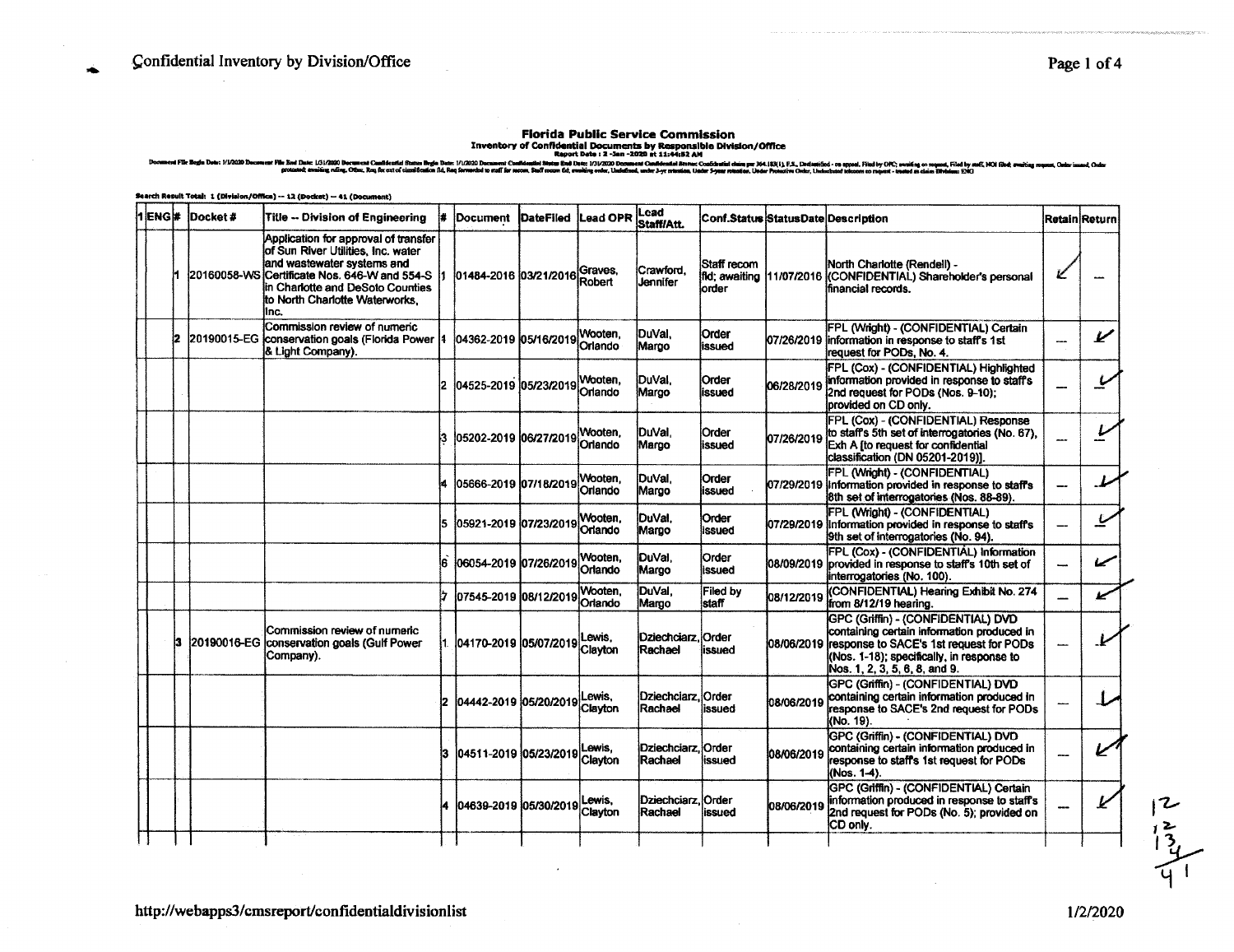Totals, 1 (Pinining (CORes) -- 13 (Poplar) -- 41 (Co

Florida Public Service Commission<br>- Inventory of Confidential Documents by Responsible Division/Office<br>- Report Date : 2 -3an -2020 at 11:44:82 AM<br>- 2010 Dreams Confidential Resport Date : 2 -3an -2020 at 11:44:82 AM<br>- 201 .<br>File End Dute: 1/31/2020 Doct .<br>(51/2020 Document Conflidential Bhatus Regio Date: 1/1/2020 Document C<br>Vary, ruling, Othur, Rey for ext of classification fld, Roa Sorvarded to maff for

| 1 ENG # | Docket#     | Title -- Division of Engineering                                                                                                                                                                                             |     | Document                    | <b>DateFiled</b> | Lead OPR           | <b>Lead</b><br>Staff/Att.              | <b>Conf.Status Status Date Description</b> |            |                                                                                                                                                                                                                      |     | RetainİReturn |
|---------|-------------|------------------------------------------------------------------------------------------------------------------------------------------------------------------------------------------------------------------------------|-----|-----------------------------|------------------|--------------------|----------------------------------------|--------------------------------------------|------------|----------------------------------------------------------------------------------------------------------------------------------------------------------------------------------------------------------------------|-----|---------------|
|         | 20160058-WS | Application for approval of transfer<br>of Sun River Utilities, Inc. water<br>and wastewater systems and<br>Certificate Nos. 646-W and 554-S<br>lin Charlotte and DeSoto Counties<br>to North Charlotte Waterworks.<br>linc. |     | 01484-2016 03/21/2016       |                  | Graves.<br>Robert  | Crawford.<br>Jennifer                  | Staff recom<br>lorder                      |            | North Charlotte (Rendell) -<br>fild: awaiting 11/07/2016 (CONFIDENTIAL) Shareholder's personal<br>financial records.                                                                                                 |     |               |
|         | 20190015-EG | Commission review of numeric<br>conservation goals (Florida Power   1<br>& Light Company).                                                                                                                                   |     | 04362-2019 05/16/2019       |                  | Wooten.<br>Orlando | DuVal.<br>Margo                        | <b>Order</b><br>issued                     |            | FPL (Wright) - (CONFIDENTIAL) Certain<br>07/26/2019 information in response to staff's 1st<br>request for PODs, No. 4.                                                                                               | --- | ممط           |
|         |             |                                                                                                                                                                                                                              |     | 2 04525-2019 05/23/2019     |                  | Wooten.<br>Orlando | DuVal.<br>Margo                        | <b>Order</b><br>lissued                    | 06/28/2019 | <b>IFPL (Cox) - (CONFIDENTIAL) Highlighted</b><br>information provided in response to staff's<br>i2nd request for PODs (Nos. 9-10):<br>provided on CD only.                                                          |     |               |
|         |             |                                                                                                                                                                                                                              |     | l05202-2019 l06/27/2019     |                  | Wooten.<br>Orlando | DuVal.<br>Margo                        | Order<br>lissued                           | 07/26/2019 | FPL (Cox) - (CONFIDENTIAL) Response<br>to staff's 5th set of interrogatories (No. 67).<br>Exh A (to request for confidential<br>classification (DN 05201-2019)].                                                     |     |               |
|         |             |                                                                                                                                                                                                                              |     | 05666-2019 07/18/2019       |                  | Wooten.<br>Orlando | DuVal,<br>Margo                        | Order<br>issued                            |            | FPL (Wright) - (CONFIDENTIAL)<br>07/29/2019 Information provided in response to staff's<br>8th set of interrogatories (Nos. 88-89).                                                                                  |     |               |
|         |             |                                                                                                                                                                                                                              |     | 05921-2019 07/23/2019       |                  | Wooten,<br>Orlando | DuVal.<br>Margo                        | Order<br>lissued                           |            | FPL (Wright) - (CONFIDENTIAL)<br>07/29/2019 Information provided in response to staff's<br>9th set of interrogatories (No. 94).                                                                                      |     |               |
|         |             |                                                                                                                                                                                                                              |     | 06054-2019 07/26/2019       |                  | Nooten,<br>Orlando | DuVal.<br>Margo                        | Order<br><b>issued</b>                     |            | FPL (Cox) - (CONFIDENTIAL) Information<br>08/09/2019 provided in response to staff's 10th set of<br>interrogatories (No. 100).                                                                                       |     |               |
|         |             |                                                                                                                                                                                                                              |     | 07545-2019 08/12/2019       |                  | Wooten.<br>Orlando | DuVal,<br>Margo                        | Filed by<br>staff                          | 08/12/2019 | (CONFIDENTIAL) Hearing Exhibit No. 274<br>from 8/12/19 hearing.                                                                                                                                                      |     |               |
|         |             | Commission review of numeric<br>20190016-EG conservation goals (Gulf Power<br>Company).                                                                                                                                      |     | 04170-2019 05/07/2019 Lewis |                  | Clayton            | Dziechciarz. Order<br>Rachael          | issued                                     |            | GPC (Griffin) - (CONFIDENTIAL) DVD<br>containing certain information produced in<br>08/06/2019 response to SACE's 1st request for PODs<br>(Nos. 1-18); specifically, in response to<br>Nos. 1, 2, 3, 5, 6, 8, and 9. |     |               |
|         |             |                                                                                                                                                                                                                              | 12. | 04442-2019 05/20/2019       |                  | Lewis.<br>Clayton  | Dziechciarz Order<br>Rachael           | lissued                                    | 08/06/2019 | GPC (Griffin) - (CONFIDENTIAL) DVD<br>containing certain information produced in<br>response to SACE's 2nd request for PODs<br>(No. 19).                                                                             |     |               |
|         |             |                                                                                                                                                                                                                              | 13  | 04511-2019 05/23/2019       |                  | Lewis.<br>Clayton  | <b>iDziechciarz. iOrder</b><br>Rachael | issued                                     | 08/06/2019 | GPC (Griffin) - (CONFIDENTIAL) DVD<br>containing certain information produced in<br>response to staff's 1st request for PODs<br>(Nos. 1-4).                                                                          |     |               |
|         |             |                                                                                                                                                                                                                              |     | 04639-2019 05/30/2019       |                  | Lewis.<br>Clayton  | Dziechciarz. Order<br>Rachael          | issued                                     | 08/06/2019 | GPC (Griffin) - (CONFIDENTIAL) Certain<br>information produced in response to staff's<br>2nd request for PODs (No. 5); provided on<br>CD only.                                                                       |     |               |
|         |             |                                                                                                                                                                                                                              |     |                             |                  |                    |                                        |                                            |            |                                                                                                                                                                                                                      |     |               |

÷

 $\frac{12}{13}$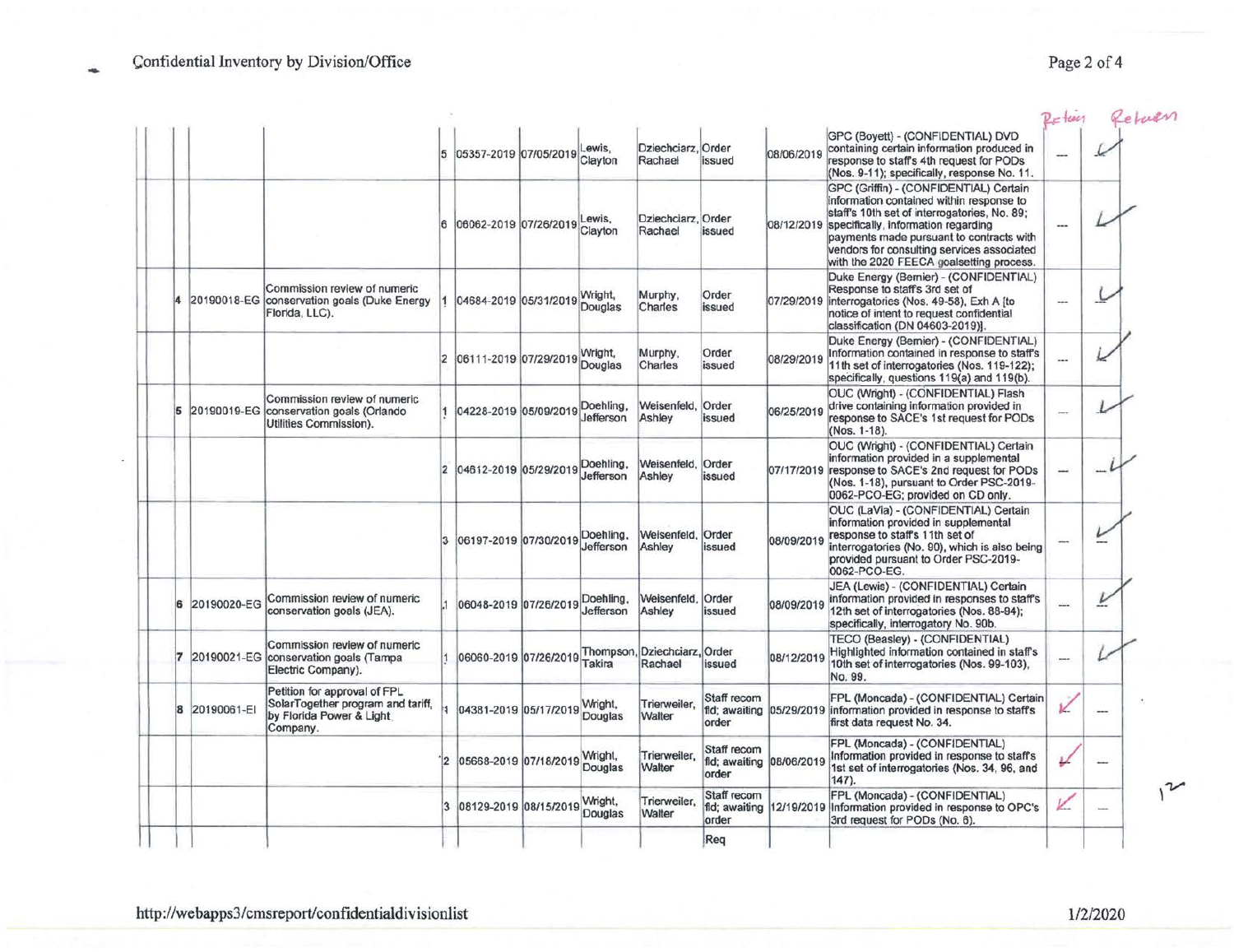|   |             |                                                                                                           |                | 5 05357-2019 07/05/2019         | Lewis,<br>Clayton      | Dziechciarz, Order<br>Rachael           | issued               | 08/06/2019               | GPC (Boyett) - (CONFIDENTIAL) DVD<br>containing certain information produced in<br>response to staff's 4th request for PODs                                                                                                                                                                                                                                               | $=$ tecs     | Return |
|---|-------------|-----------------------------------------------------------------------------------------------------------|----------------|---------------------------------|------------------------|-----------------------------------------|----------------------|--------------------------|---------------------------------------------------------------------------------------------------------------------------------------------------------------------------------------------------------------------------------------------------------------------------------------------------------------------------------------------------------------------------|--------------|--------|
|   |             |                                                                                                           |                | 06062-2019 07/26/2019           | Lewis,<br>Clayton      | Dziechciarz, Order<br>Rachael           | issued               |                          | (Nos. 9-11); specifically, response No. 11.<br>GPC (Griffin) - (CONFIDENTIAL) Certain<br>information contained within response to<br>staff's 10th set of interrogatories, No. 89;<br>08/12/2019 specifically, information regarding<br>payments made pursuant to contracts with<br>vendors for consulting services associated<br>with the 2020 FEECA goalsetting process. | ---          |        |
|   |             | Commission review of numeric<br>20190018-EG conservation goals (Duke Energy<br>Florida, LLC).             |                | 04684-2019 05/31/2019           | Wright,<br>Douglas     | Murphy,<br>Charles                      | Order<br>issued      |                          | Duke Energy (Bernier) - (CONFIDENTIAL)<br>Response to staff's 3rd set of<br>07/29/2019 interrogatories (Nos. 49-58), Exh A [to<br>notice of intent to request confidential<br>classification (DN 04603-2019)].                                                                                                                                                            | СЩ.          |        |
|   |             |                                                                                                           |                | 06111-2019 07/29/2019           | Wright,<br>Douglas     | Murphy,<br>Charles                      | Order<br>issued      | 08/29/2019               | Duke Energy (Bemier) - (CONFIDENTIAL)<br>Information contained in response to staff's<br>11th set of interrogatories (Nos. 119-122);<br>specifically, questions 119(a) and 119(b).                                                                                                                                                                                        | <b>Since</b> |        |
| 5 |             | Commission review of numeric<br>20190019-EG conservation goals (Orlando<br>Utilities Commission).         |                | 04228-2019 05/09/2019           | Doehling,<br>Jefferson | Weisenfeld,<br>Ashley                   | Order<br>issued      | 06/25/2019               | OUC (Wright) - (CONFIDENTIAL) Flash<br>drive containing information provided in<br>response to SACE's 1st request for PODs<br>(Nos. 1-18).                                                                                                                                                                                                                                | ---          |        |
|   |             |                                                                                                           |                | 04612-2019 05/29/2019           | Doehling,<br>Jefferson | Weisenfeld,<br>Ashley                   | Order<br>issued      |                          | OUC (Wright) - (CONFIDENTIAL) Certain<br>information provided in a supplemental<br>07/17/2019 response to SACE's 2nd request for PODs<br>(Nos. 1-18), pursuant to Order PSC-2019-<br>0062-PCO-EG; provided on CD only.                                                                                                                                                    | -            |        |
|   |             |                                                                                                           |                | 06197-2019 07/30/2019 Doehling, | Jefferson              | Weisenfeld,<br>Ashley                   | Order<br>issued      | 08/09/2019               | OUC (LaVia) - (CONFIDENTIAL) Certain<br>information provided in supplemental<br>response to staffs 11th set of<br>interrogatories (No. 90), which is also being<br>provided pursuant to Order PSC-2019-<br>0062-PCO-EG.                                                                                                                                                   |              |        |
|   | 20190020-EG | Commission review of numeric<br>conservation goals (JEA).                                                 |                | 06048-2019 07/26/2019           | Doehling,<br>Jefferson | Weisenfeld.<br>Ashley                   | Order<br>issued      | 08/09/2019               | JEA (Lewis) - (CONFIDENTIAL) Certain<br>information provided in responses to staff's<br>12th set of interrogatories (Nos. 88-94);<br>specifically, interrogatory No. 90b.                                                                                                                                                                                                 | $\cdots$     |        |
|   |             | Commission review of numeric<br>20190021-EG conservation goals (Tampa<br>Electric Company).               |                | 06060-2019 07/26/2019           | Takira                 | Thompson, Dziechciarz, Order<br>Rachael | issued               | 08/12/2019               | TECO (Beasley) - (CONFIDENTIAL)<br>Highlighted information contained in staff's<br>10th set of interrogatories (Nos. 99-103).<br>No. 99.                                                                                                                                                                                                                                  | ---          |        |
|   | 20190061-EI | Petition for approval of FPL<br>SolarTogether program and tariff.<br>by Florida Power & Light<br>Company. | ŀ1             | 04381-2019 05/17/2019 Wright,   |                        | Trierweiler,<br>Walter                  | Staff recom<br>order |                          | FPL (Moncada) - (CONFIDENTIAL) Certain<br>fld; awaiting 05/29/2019 information provided in response to staff's<br>first data request No. 34.                                                                                                                                                                                                                              | ĸ            |        |
|   |             |                                                                                                           |                | 05668-2019 07/18/2019 Wright,   | Douglas                | Trierweiler.<br>Walter                  | Staff recom<br>order | fld; awaiting 08/06/2019 | FPL (Moncada) - (CONFIDENTIAL)<br>Information provided in response to staff's<br>1st set of interrogatories (Nos. 34, 96, and<br>$147$ ).                                                                                                                                                                                                                                 |              |        |
|   |             |                                                                                                           | $\overline{3}$ | 08129-2019 08/15/2019           | Wright.<br>Douglas     | Trierweiler.<br>Walter                  | Staff recom<br>order |                          | FPL (Moncada) - (CONFIDENTIAL)<br>fld; awaiting 12/19/2019 Information provided in response to OPC's<br>3rd request for PODs (No. 6).                                                                                                                                                                                                                                     |              |        |

Req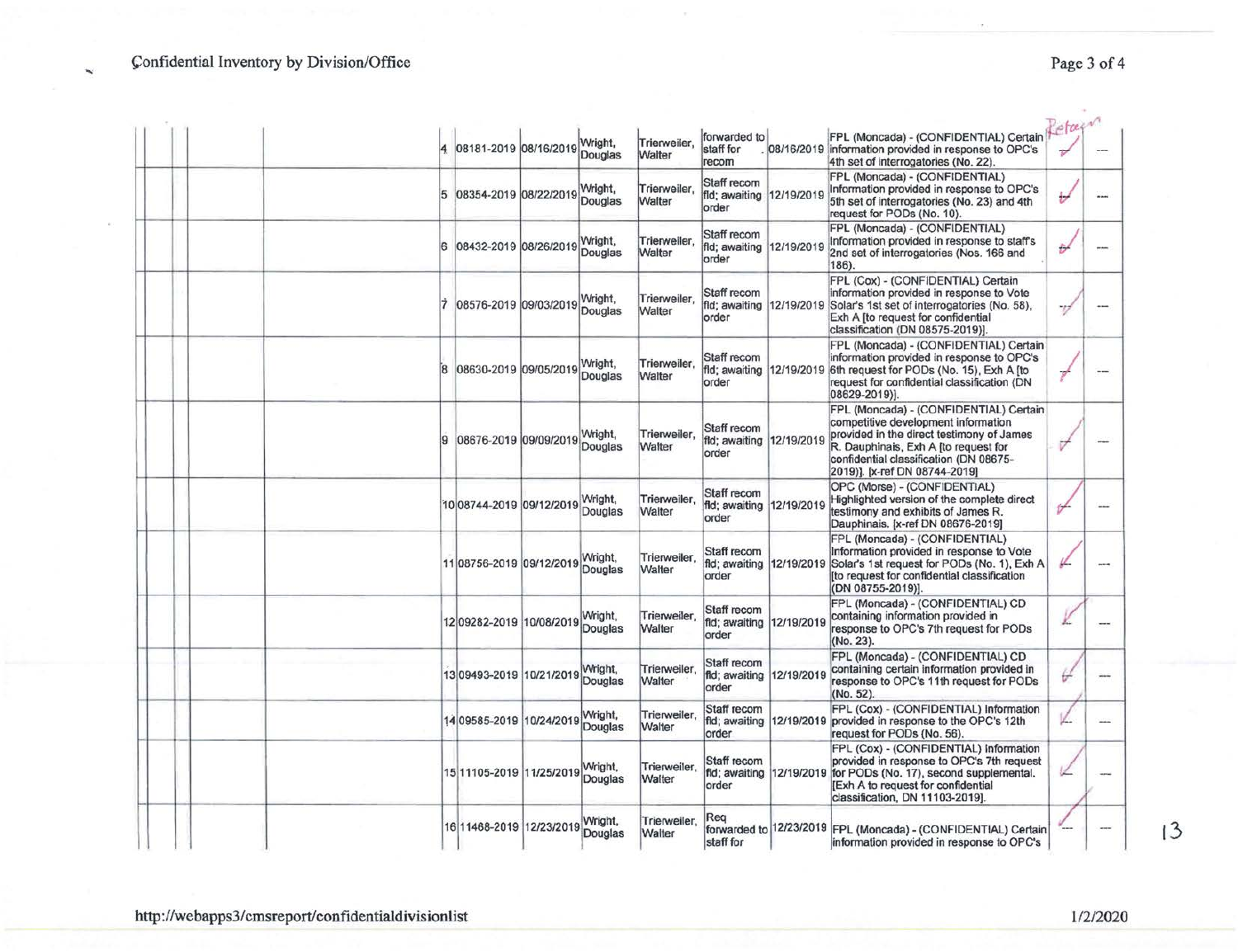Çonfidential Inventory by Division/Office

 $\mathbf{w}$ 

| Page 3 of 4 |  |  |
|-------------|--|--|
|             |  |  |
|             |  |  |

 $\overline{a}$ 

|  | 08181-2019 08/16/2019 Wright,    |                           | Trierweiler.<br>Walter | forwarded to<br>staff for<br>recom                |                          | FPL (Moncada) - (CONFIDENTIAL) Certain<br>08/16/2019 information provided in response to OPC's<br>4th set of interrogatories (No. 22).                                                                                                        | etain |     |
|--|----------------------------------|---------------------------|------------------------|---------------------------------------------------|--------------------------|-----------------------------------------------------------------------------------------------------------------------------------------------------------------------------------------------------------------------------------------------|-------|-----|
|  | 08354-2019 08/22/2019            | Wright,<br>Douglas        | Trierweiler.<br>Walter | Staff recom<br>fld; awaiting<br>order             | 12/19/2019               | FPL (Moncada) - (CONFIDENTIAL)<br>Information provided in response to OPC's<br>5th set of interrogatories (No. 23) and 4th<br>request for PODs (No. 10).                                                                                      | ₩     |     |
|  | 08432-2019 08/26/2019 Wright,    |                           | Trierweiler,<br>Walter | Staff recom<br>fld; awaiting<br>order             | 12/19/2019               | FPL (Moncada) - (CONFIDENTIAL)<br>Information provided in response to staff's<br>2nd set of interrogatories (Nos. 166 and<br>186).                                                                                                            | Đ     |     |
|  | 08576-2019 09/03/2019 Wright,    |                           | Trierweiler,<br>Walter | Staff recom<br>fld; awaiting<br>order             |                          | FPL (Cox) - (CONFIDENTIAL) Certain<br>information provided in response to Vote<br>12/19/2019 Solar's 1st set of interrogatories (No. 58),<br>Exh A [to request for confidential<br>classification (DN 08575-2019)].                           | 77    |     |
|  | 08630-2019 09/05/2019            | Wright,<br>Douglas        | Trierweiler.<br>Walter | Staff recom<br>fld; awaiting<br>order             |                          | FPL (Moncada) - (CONFIDENTIAL) Certain<br>information provided in response to OPC's<br>12/19/2019 6th request for PODs (No. 15), Exh A [to<br>request for confidential classification (DN<br>08629-2019)].                                    |       | $-$ |
|  | 08676-2019 09/09/2019 Wright,    | Douglas                   | Trierweiler.<br>Walter | Staff recom<br>fld; awaiting 12/19/2019<br>order  |                          | FPL (Moncada) - (CONFIDENTIAL) Certain<br>competitive development information<br>provided in the direct testimony of James<br>R. Dauphinais, Exh A [to request for<br>confidential classification (DN 08675-<br>2019)]. [x-ref DN 08744-2019] | v     |     |
|  | 10 08744-2019 09/12/2019 Wright, |                           | Trierweiler,<br>Walter | Staff recom<br>fld; awaiting 12/19/2019<br>order  |                          | OPC (Morse) - (CONFIDENTIAL)<br>Highlighted version of the complete direct<br>testimony and exhibits of James R.<br>Dauphinais. [x-ref DN 08676-2019]                                                                                         | ⊬     |     |
|  | 1108756-2019 09/12/2019 Douglas  |                           | Trierweiler.<br>Walter | Staff recom<br>fld; awaiting 12/19/2019<br>order  |                          | FPL (Moncada) - (CONFIDENTIAL)<br>Information provided in response to Vote<br>Solar's 1st request for PODs (No. 1), Exh A<br>[to request for confidential classification<br>(DN 08755-2019)].                                                 |       |     |
|  | 12 09282-2019 10/08/2019         | Wright,<br>Douglas        | Trierweiler,<br>Walter | Staff recom<br>fld; awaiting 12/19/2019<br>order  |                          | FPL (Moncada) - (CONFIDENTIAL) CD<br>containing information provided in<br>response to OPC's 7th request for PODs<br>(No. 23).                                                                                                                |       | --- |
|  | 13 09493-2019 10/21/2019         | Wright,<br>Douglas        | Trierweiler.<br>Walter | Staff recom<br>fld; awaiting 12/19/2019<br>order  |                          | FPL (Moncada) - (CONFIDENTIAL) CD<br>containing certain information provided in<br>response to OPC's 11th request for PODs<br>(No. 52).                                                                                                       | Đ     |     |
|  | 14 09585-2019 10/24/2019         | Wright,<br><b>Douglas</b> | Trierweiler,<br>Walter | Staff recom<br>order                              | fid; awaiting 12/19/2019 | FPL (Cox) - (CONFIDENTIAL) Information<br>provided in response to the OPC's 12th<br>request for PODs (No. 56).                                                                                                                                |       | --- |
|  | 15 11105-2019 11/25/2019         | Wright,<br>Douglas        | Trierweiler.<br>Walter | Staff recom<br>fld; awaiting  12/19/2019<br>order |                          | FPL (Cox) - (CONFIDENTIAL) Information<br>provided in response to OPC's 7th request<br>for PODs (No. 17), second supplemental.<br>[Exh A to request for confidential<br>classification, DN 11103-2019].                                       |       |     |
|  | 16 11468-2019 12/23/2019         | Wright,<br>Douglas        | Trierweiler,<br>Walter | Reg<br>staff for                                  |                          | forwarded to 12/23/2019 FPL (Moncada) - (CONFIDENTIAL) Certain<br>information provided in response to OPC's                                                                                                                                   |       |     |

http://webapps3/cmsreport/confidentialdivisionlist 1/2/2020